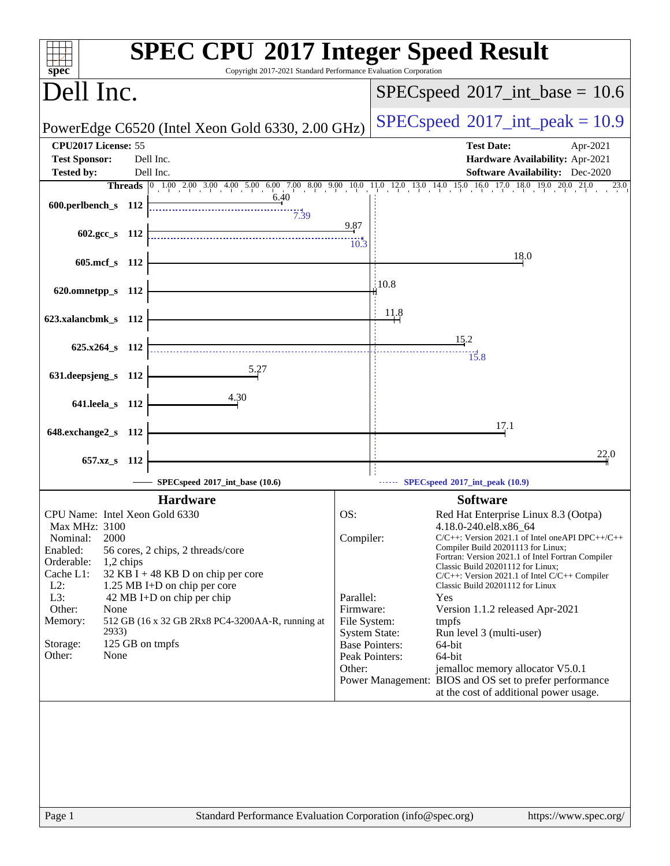| spec <sup>®</sup>                                                                                                                                                                                            | <b>SPEC CPU®2017 Integer Speed Result</b><br>Copyright 2017-2021 Standard Performance Evaluation Corporation                                                                                                 |                                                                                                                                         |                                                                                                                                                                                                                                                                                                                                                                                                                                                                                                                                                                                            |  |
|--------------------------------------------------------------------------------------------------------------------------------------------------------------------------------------------------------------|--------------------------------------------------------------------------------------------------------------------------------------------------------------------------------------------------------------|-----------------------------------------------------------------------------------------------------------------------------------------|--------------------------------------------------------------------------------------------------------------------------------------------------------------------------------------------------------------------------------------------------------------------------------------------------------------------------------------------------------------------------------------------------------------------------------------------------------------------------------------------------------------------------------------------------------------------------------------------|--|
| Dell Inc.                                                                                                                                                                                                    |                                                                                                                                                                                                              |                                                                                                                                         | $SPEC speed^{\circ}2017\_int\_base = 10.6$                                                                                                                                                                                                                                                                                                                                                                                                                                                                                                                                                 |  |
|                                                                                                                                                                                                              | PowerEdge C6520 (Intel Xeon Gold 6330, 2.00 GHz)                                                                                                                                                             | $SPEC speed^{\circ}2017\_int\_peak = 10.9$                                                                                              |                                                                                                                                                                                                                                                                                                                                                                                                                                                                                                                                                                                            |  |
| CPU2017 License: 55<br><b>Test Sponsor:</b>                                                                                                                                                                  | Dell Inc.                                                                                                                                                                                                    |                                                                                                                                         | <b>Test Date:</b><br>Apr-2021<br>Hardware Availability: Apr-2021                                                                                                                                                                                                                                                                                                                                                                                                                                                                                                                           |  |
| <b>Tested by:</b>                                                                                                                                                                                            | Dell Inc.                                                                                                                                                                                                    |                                                                                                                                         | <b>Software Availability:</b> Dec-2020                                                                                                                                                                                                                                                                                                                                                                                                                                                                                                                                                     |  |
| 600.perlbench_s 112<br>602.gcc s 112                                                                                                                                                                         | 6.40<br>7.39                                                                                                                                                                                                 | 9.87<br>$10.\overline{3}$                                                                                                               | <b>Threads</b> 0 1.00 2.00 3.00 4.00 5.00 6.00 7.00 8.00 9.00 10.0 11.0 12.0 13.0 14.0 15.0 16.0 17.0 18.0 19.0 20.0 21.0<br>23.0                                                                                                                                                                                                                                                                                                                                                                                                                                                          |  |
| 605.mcf_s 112                                                                                                                                                                                                |                                                                                                                                                                                                              |                                                                                                                                         | 18.0                                                                                                                                                                                                                                                                                                                                                                                                                                                                                                                                                                                       |  |
| 620.omnetpp_s 112                                                                                                                                                                                            |                                                                                                                                                                                                              |                                                                                                                                         | 10.8                                                                                                                                                                                                                                                                                                                                                                                                                                                                                                                                                                                       |  |
| 623.xalancbmk_s 112                                                                                                                                                                                          |                                                                                                                                                                                                              |                                                                                                                                         | 11.8                                                                                                                                                                                                                                                                                                                                                                                                                                                                                                                                                                                       |  |
| $625.x264_s$ 112                                                                                                                                                                                             |                                                                                                                                                                                                              |                                                                                                                                         | 15.2<br>15.8                                                                                                                                                                                                                                                                                                                                                                                                                                                                                                                                                                               |  |
| 631.deepsjeng_s 112                                                                                                                                                                                          | 5.27                                                                                                                                                                                                         |                                                                                                                                         |                                                                                                                                                                                                                                                                                                                                                                                                                                                                                                                                                                                            |  |
| 641.leela_s 112                                                                                                                                                                                              | 4.30                                                                                                                                                                                                         |                                                                                                                                         |                                                                                                                                                                                                                                                                                                                                                                                                                                                                                                                                                                                            |  |
| 648.exchange2_s 112                                                                                                                                                                                          |                                                                                                                                                                                                              |                                                                                                                                         | 17.1                                                                                                                                                                                                                                                                                                                                                                                                                                                                                                                                                                                       |  |
| $657.xz$ <sub>S</sub><br>-112                                                                                                                                                                                |                                                                                                                                                                                                              |                                                                                                                                         | 22.0                                                                                                                                                                                                                                                                                                                                                                                                                                                                                                                                                                                       |  |
|                                                                                                                                                                                                              | SPECspeed®2017_int_base (10.6)                                                                                                                                                                               |                                                                                                                                         | SPECspeed®2017_int_peak (10.9)                                                                                                                                                                                                                                                                                                                                                                                                                                                                                                                                                             |  |
|                                                                                                                                                                                                              | <b>Hardware</b>                                                                                                                                                                                              |                                                                                                                                         | <b>Software</b>                                                                                                                                                                                                                                                                                                                                                                                                                                                                                                                                                                            |  |
| CPU Name: Intel Xeon Gold 6330<br>Max MHz: 3100<br>2000<br>Nominal:<br>Enabled:<br>Orderable:<br>1,2 chips<br>Cache L1:<br>$L2$ :<br>L3:<br>Other:<br>None<br>Memory:<br>2933)<br>Storage:<br>Other:<br>None | 56 cores, 2 chips, 2 threads/core<br>32 KB I + 48 KB D on chip per core<br>1.25 MB I+D on chip per core<br>42 MB I+D on chip per chip<br>512 GB (16 x 32 GB 2Rx8 PC4-3200AA-R, running at<br>125 GB on tmpfs | OS:<br>Compiler:<br>Parallel:<br>Firmware:<br>File System:<br><b>System State:</b><br><b>Base Pointers:</b><br>Peak Pointers:<br>Other: | Red Hat Enterprise Linux 8.3 (Ootpa)<br>4.18.0-240.el8.x86_64<br>$C/C++$ : Version 2021.1 of Intel one API DPC++/C++<br>Compiler Build 20201113 for Linux;<br>Fortran: Version 2021.1 of Intel Fortran Compiler<br>Classic Build 20201112 for Linux;<br>$C/C++$ : Version 2021.1 of Intel $C/C++$ Compiler<br>Classic Build 20201112 for Linux<br>Yes<br>Version 1.1.2 released Apr-2021<br>tmpfs<br>Run level 3 (multi-user)<br>64-bit<br>64-bit<br>jemalloc memory allocator V5.0.1<br>Power Management: BIOS and OS set to prefer performance<br>at the cost of additional power usage. |  |
| Page 1                                                                                                                                                                                                       | Standard Performance Evaluation Corporation (info@spec.org)                                                                                                                                                  |                                                                                                                                         | https://www.spec.org/                                                                                                                                                                                                                                                                                                                                                                                                                                                                                                                                                                      |  |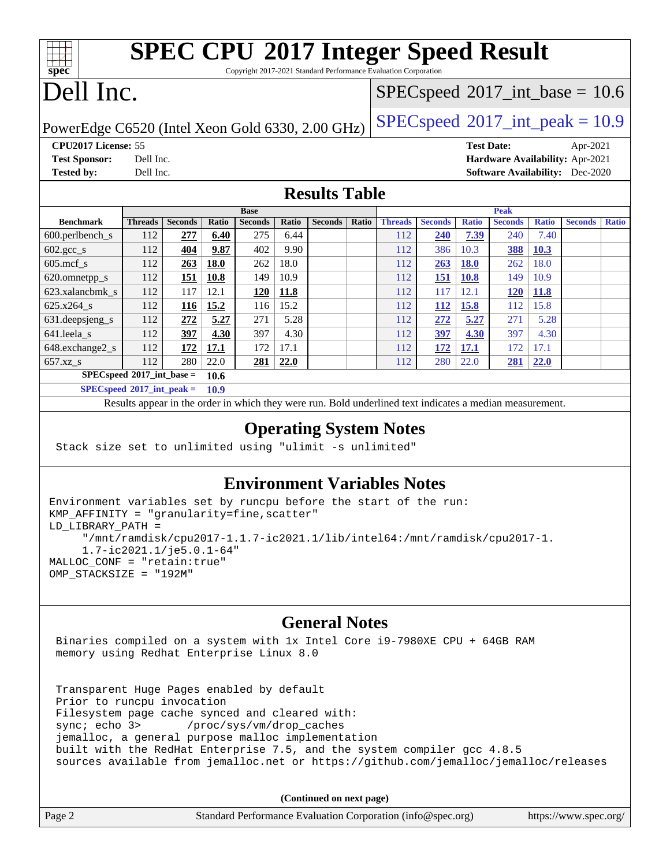### **[SPEC CPU](http://www.spec.org/auto/cpu2017/Docs/result-fields.html#SPECCPU2017IntegerSpeedResult)[2017 Integer Speed Result](http://www.spec.org/auto/cpu2017/Docs/result-fields.html#SPECCPU2017IntegerSpeedResult)** Copyright 2017-2021 Standard Performance Evaluation Corporation

# Dell Inc.

**[spec](http://www.spec.org/)**

 $\pm\pm\prime$ 

### $SPECspeed^{\circledcirc}2017\_int\_base = 10.6$  $SPECspeed^{\circledcirc}2017\_int\_base = 10.6$

PowerEdge C6520 (Intel Xeon Gold 6330, 2.00 GHz)  $\left|$  [SPECspeed](http://www.spec.org/auto/cpu2017/Docs/result-fields.html#SPECspeed2017intpeak)<sup>®</sup>[2017\\_int\\_peak = 1](http://www.spec.org/auto/cpu2017/Docs/result-fields.html#SPECspeed2017intpeak)0.9

**[CPU2017 License:](http://www.spec.org/auto/cpu2017/Docs/result-fields.html#CPU2017License)** 55 **[Test Date:](http://www.spec.org/auto/cpu2017/Docs/result-fields.html#TestDate)** Apr-2021 **[Test Sponsor:](http://www.spec.org/auto/cpu2017/Docs/result-fields.html#TestSponsor)** Dell Inc. **[Hardware Availability:](http://www.spec.org/auto/cpu2017/Docs/result-fields.html#HardwareAvailability)** Apr-2021 **[Tested by:](http://www.spec.org/auto/cpu2017/Docs/result-fields.html#Testedby)** Dell Inc. **[Software Availability:](http://www.spec.org/auto/cpu2017/Docs/result-fields.html#SoftwareAvailability)** Dec-2020

### **[Results Table](http://www.spec.org/auto/cpu2017/Docs/result-fields.html#ResultsTable)**

|                                       | <b>Base</b>    |                |       |                |       |                | <b>Peak</b> |                |                |              |                |              |                |              |
|---------------------------------------|----------------|----------------|-------|----------------|-------|----------------|-------------|----------------|----------------|--------------|----------------|--------------|----------------|--------------|
| <b>Benchmark</b>                      | <b>Threads</b> | <b>Seconds</b> | Ratio | <b>Seconds</b> | Ratio | <b>Seconds</b> | Ratio       | <b>Threads</b> | <b>Seconds</b> | <b>Ratio</b> | <b>Seconds</b> | <b>Ratio</b> | <b>Seconds</b> | <b>Ratio</b> |
| $600.$ perlbench $\mathsf{S}$         | 112            | 277            | 6.40  | 275            | 6.44  |                |             | 112            | 240            | 7.39         | 240            | 7.40         |                |              |
| $602 \text{.} \text{gcc}\text{_<}$ s  | 112            | 404            | 9.87  | 402            | 9.90  |                |             | 112            | 386            | 10.3         | <b>388</b>     | 10.3         |                |              |
| $605$ .mcf s                          | 112            | 263            | 18.0  | 262            | 18.0  |                |             | 112            | 263            | <b>18.0</b>  | 262            | 18.0         |                |              |
| 620.omnetpp_s                         | 112            | 151            | 10.8  | 149            | 10.9  |                |             | 112            | 151            | <b>10.8</b>  | 149            | 10.9         |                |              |
| 623.xalancbmk s                       | 112            | 117            | 12.1  | <u>120</u>     | 11.8  |                |             | 112            | 117            | 12.1         | <u>120</u>     | 11.8         |                |              |
| 625.x264 s                            | 112            | 116            | 15.2  | 116            | 15.2  |                |             | 112            | <u>112</u>     | 15.8         | 112            | 15.8         |                |              |
| $631.$ deepsjeng $s$                  | 112            | 272            | 5.27  | 271            | 5.28  |                |             | 112            | 272            | 5.27         | 271            | 5.28         |                |              |
| 641.leela s                           | 112            | 397            | 4.30  | 397            | 4.30  |                |             | 112            | 397            | 4.30         | 397            | 4.30         |                |              |
| 648.exchange2_s                       | 112            | 172            | 17.1  | 172            | 17.1  |                |             | 112            | 172            | 17.1         | 172            | 17.1         |                |              |
| 657.xz s                              | 112            | 280            | 22.0  | 281            | 22.0  |                |             | 112            | 280            | 22.0         | <b>281</b>     | 22.0         |                |              |
| $SPECspeed*2017$ int base =           | 10.6           |                |       |                |       |                |             |                |                |              |                |              |                |              |
| $SPEC speed^{\circ}2017\_int\_peak =$ |                |                | 10.9  |                |       |                |             |                |                |              |                |              |                |              |

Results appear in the [order in which they were run.](http://www.spec.org/auto/cpu2017/Docs/result-fields.html#RunOrder) Bold underlined text [indicates a median measurement.](http://www.spec.org/auto/cpu2017/Docs/result-fields.html#Median)

#### **[Operating System Notes](http://www.spec.org/auto/cpu2017/Docs/result-fields.html#OperatingSystemNotes)**

Stack size set to unlimited using "ulimit -s unlimited"

### **[Environment Variables Notes](http://www.spec.org/auto/cpu2017/Docs/result-fields.html#EnvironmentVariablesNotes)**

```
Environment variables set by runcpu before the start of the run:
KMP_AFFINITY = "granularity=fine,scatter"
LD_LIBRARY_PATH =
      "/mnt/ramdisk/cpu2017-1.1.7-ic2021.1/lib/intel64:/mnt/ramdisk/cpu2017-1.
      1.7-ic2021.1/je5.0.1-64"
MALLOC_CONF = "retain:true"
OMP_STACKSIZE = "192M"
```
#### **[General Notes](http://www.spec.org/auto/cpu2017/Docs/result-fields.html#GeneralNotes)**

 Binaries compiled on a system with 1x Intel Core i9-7980XE CPU + 64GB RAM memory using Redhat Enterprise Linux 8.0

 Transparent Huge Pages enabled by default Prior to runcpu invocation Filesystem page cache synced and cleared with: sync; echo 3> /proc/sys/vm/drop\_caches jemalloc, a general purpose malloc implementation built with the RedHat Enterprise 7.5, and the system compiler gcc 4.8.5 sources available from jemalloc.net or <https://github.com/jemalloc/jemalloc/releases>

**(Continued on next page)**

| Page 2 | Standard Performance Evaluation Corporation (info@spec.org) | https://www.spec.org/ |
|--------|-------------------------------------------------------------|-----------------------|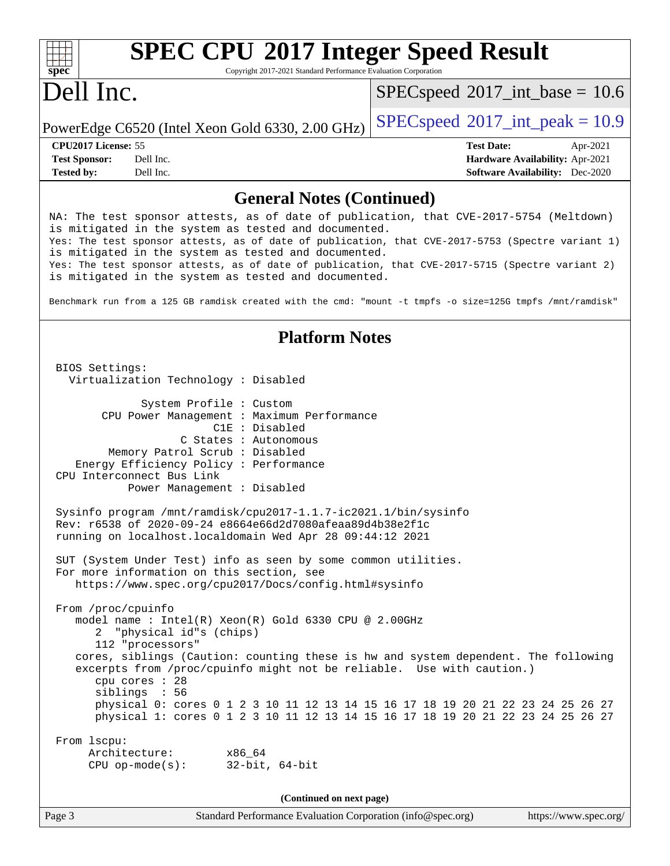#### $+\ +$ **[spec](http://www.spec.org/)**

# **[SPEC CPU](http://www.spec.org/auto/cpu2017/Docs/result-fields.html#SPECCPU2017IntegerSpeedResult)[2017 Integer Speed Result](http://www.spec.org/auto/cpu2017/Docs/result-fields.html#SPECCPU2017IntegerSpeedResult)**

Copyright 2017-2021 Standard Performance Evaluation Corporation

## Dell Inc.

 $SPECspeed^{\circ}2017\_int\_base = 10.6$  $SPECspeed^{\circ}2017\_int\_base = 10.6$ 

PowerEdge C6520 (Intel Xeon Gold 6330, 2.00 GHz)  $\left|$  [SPECspeed](http://www.spec.org/auto/cpu2017/Docs/result-fields.html#SPECspeed2017intpeak)<sup>®</sup>[2017\\_int\\_peak = 1](http://www.spec.org/auto/cpu2017/Docs/result-fields.html#SPECspeed2017intpeak)0.9

**[Tested by:](http://www.spec.org/auto/cpu2017/Docs/result-fields.html#Testedby)** Dell Inc. **[Software Availability:](http://www.spec.org/auto/cpu2017/Docs/result-fields.html#SoftwareAvailability)** Dec-2020

**[CPU2017 License:](http://www.spec.org/auto/cpu2017/Docs/result-fields.html#CPU2017License)** 55 **[Test Date:](http://www.spec.org/auto/cpu2017/Docs/result-fields.html#TestDate)** Apr-2021 **[Test Sponsor:](http://www.spec.org/auto/cpu2017/Docs/result-fields.html#TestSponsor)** Dell Inc. **[Hardware Availability:](http://www.spec.org/auto/cpu2017/Docs/result-fields.html#HardwareAvailability)** Apr-2021

#### **[General Notes \(Continued\)](http://www.spec.org/auto/cpu2017/Docs/result-fields.html#GeneralNotes)**

NA: The test sponsor attests, as of date of publication, that CVE-2017-5754 (Meltdown) is mitigated in the system as tested and documented. Yes: The test sponsor attests, as of date of publication, that CVE-2017-5753 (Spectre variant 1) is mitigated in the system as tested and documented. Yes: The test sponsor attests, as of date of publication, that CVE-2017-5715 (Spectre variant 2) is mitigated in the system as tested and documented. Benchmark run from a 125 GB ramdisk created with the cmd: "mount -t tmpfs -o size=125G tmpfs /mnt/ramdisk" **[Platform Notes](http://www.spec.org/auto/cpu2017/Docs/result-fields.html#PlatformNotes)** BIOS Settings: Virtualization Technology : Disabled System Profile : Custom CPU Power Management : Maximum Performance C1E : Disabled C States : Autonomous Memory Patrol Scrub : Disabled Energy Efficiency Policy : Performance CPU Interconnect Bus Link Power Management : Disabled Sysinfo program /mnt/ramdisk/cpu2017-1.1.7-ic2021.1/bin/sysinfo Rev: r6538 of 2020-09-24 e8664e66d2d7080afeaa89d4b38e2f1c running on localhost.localdomain Wed Apr 28 09:44:12 2021 SUT (System Under Test) info as seen by some common utilities. For more information on this section, see <https://www.spec.org/cpu2017/Docs/config.html#sysinfo> From /proc/cpuinfo model name : Intel(R) Xeon(R) Gold 6330 CPU @ 2.00GHz 2 "physical id"s (chips) 112 "processors" cores, siblings (Caution: counting these is hw and system dependent. The following excerpts from /proc/cpuinfo might not be reliable. Use with caution.) cpu cores : 28 siblings : 56 physical 0: cores 0 1 2 3 10 11 12 13 14 15 16 17 18 19 20 21 22 23 24 25 26 27 physical 1: cores 0 1 2 3 10 11 12 13 14 15 16 17 18 19 20 21 22 23 24 25 26 27 From lscpu: Architecture: x86\_64 CPU op-mode(s): 32-bit, 64-bit

**(Continued on next page)**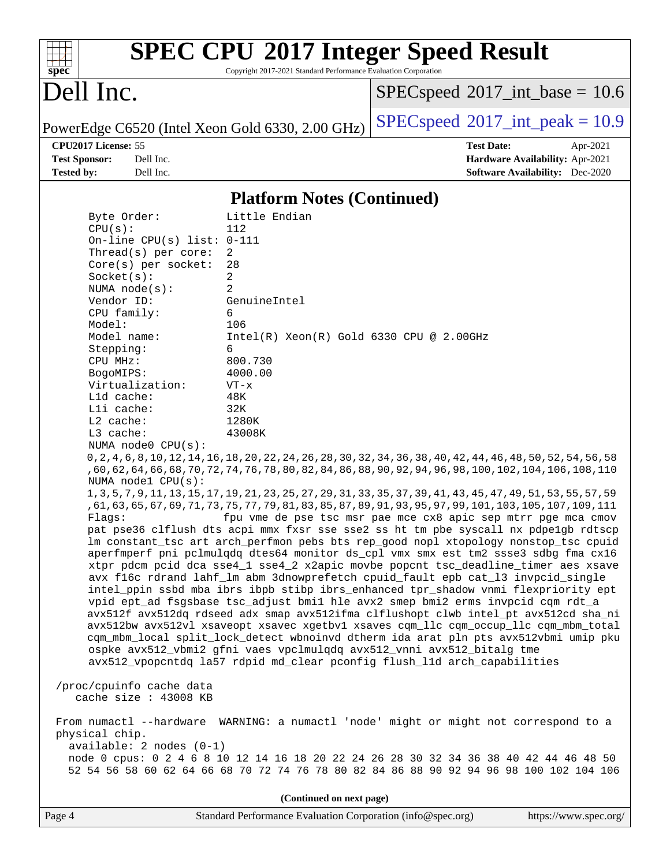

# **[SPEC CPU](http://www.spec.org/auto/cpu2017/Docs/result-fields.html#SPECCPU2017IntegerSpeedResult)[2017 Integer Speed Result](http://www.spec.org/auto/cpu2017/Docs/result-fields.html#SPECCPU2017IntegerSpeedResult)**

Copyright 2017-2021 Standard Performance Evaluation Corporation

## Dell Inc.

 $SPEC speed$ <sup>®</sup>[2017\\_int\\_base =](http://www.spec.org/auto/cpu2017/Docs/result-fields.html#SPECspeed2017intbase) 10.6

PowerEdge C6520 (Intel Xeon Gold 6330, 2.00 GHz)  $\left|$  [SPECspeed](http://www.spec.org/auto/cpu2017/Docs/result-fields.html#SPECspeed2017intpeak)<sup>®</sup>[2017\\_int\\_peak = 1](http://www.spec.org/auto/cpu2017/Docs/result-fields.html#SPECspeed2017intpeak)0.9

**[CPU2017 License:](http://www.spec.org/auto/cpu2017/Docs/result-fields.html#CPU2017License)** 55 **[Test Date:](http://www.spec.org/auto/cpu2017/Docs/result-fields.html#TestDate)** Apr-2021 **[Test Sponsor:](http://www.spec.org/auto/cpu2017/Docs/result-fields.html#TestSponsor)** Dell Inc. **[Hardware Availability:](http://www.spec.org/auto/cpu2017/Docs/result-fields.html#HardwareAvailability)** Apr-2021 **[Tested by:](http://www.spec.org/auto/cpu2017/Docs/result-fields.html#Testedby)** Dell Inc. **[Software Availability:](http://www.spec.org/auto/cpu2017/Docs/result-fields.html#SoftwareAvailability)** Dec-2020

#### **[Platform Notes \(Continued\)](http://www.spec.org/auto/cpu2017/Docs/result-fields.html#PlatformNotes)**

| Byte Order:<br>CPU(s):<br>On-line CPU(s) list: $0-111$ | Little Endian<br>112                                                                                              |  |  |  |  |  |
|--------------------------------------------------------|-------------------------------------------------------------------------------------------------------------------|--|--|--|--|--|
| Thread(s) per core:                                    | $\overline{a}$                                                                                                    |  |  |  |  |  |
| $Core(s)$ per socket:                                  | 28                                                                                                                |  |  |  |  |  |
| Socket(s):                                             | $\overline{a}$                                                                                                    |  |  |  |  |  |
| NUMA $node(s):$                                        | $\overline{a}$                                                                                                    |  |  |  |  |  |
| Vendor ID:                                             | GenuineIntel                                                                                                      |  |  |  |  |  |
| CPU family:                                            | 6                                                                                                                 |  |  |  |  |  |
| Model:                                                 | 106                                                                                                               |  |  |  |  |  |
| Model name:                                            | $Intel(R)$ Xeon $(R)$ Gold 6330 CPU @ 2.00GHz                                                                     |  |  |  |  |  |
| Stepping:<br>CPU MHz:                                  | 6<br>800.730                                                                                                      |  |  |  |  |  |
| BogoMIPS:                                              | 4000.00                                                                                                           |  |  |  |  |  |
| Virtualization:                                        | $VT - x$                                                                                                          |  |  |  |  |  |
| Lld cache:                                             | 48K                                                                                                               |  |  |  |  |  |
| Lli cache:                                             | 32K                                                                                                               |  |  |  |  |  |
| L2 cache:                                              | 1280K                                                                                                             |  |  |  |  |  |
| $L3$ cache:                                            | 43008K                                                                                                            |  |  |  |  |  |
| NUMA node0 CPU(s):                                     |                                                                                                                   |  |  |  |  |  |
|                                                        | 0, 2, 4, 6, 8, 10, 12, 14, 16, 18, 20, 22, 24, 26, 28, 30, 32, 34, 36, 38, 40, 42, 44, 46, 48, 50, 52, 54, 56, 58 |  |  |  |  |  |
|                                                        | ,60,62,64,66,68,70,72,74,76,78,80,82,84,86,88,90,92,94,96,98,100,102,104,106,108,110                              |  |  |  |  |  |
| NUMA nodel CPU(s):                                     |                                                                                                                   |  |  |  |  |  |
|                                                        | 1, 3, 5, 7, 9, 11, 13, 15, 17, 19, 21, 23, 25, 27, 29, 31, 33, 35, 37, 39, 41, 43, 45, 47, 49, 51, 53, 55, 57, 59 |  |  |  |  |  |
|                                                        | , 61, 63, 65, 67, 69, 71, 73, 75, 77, 79, 81, 83, 85, 87, 89, 91, 93, 95, 97, 99, 101, 103, 105, 107, 109, 111    |  |  |  |  |  |
| Flaqs:                                                 | fpu vme de pse tsc msr pae mce cx8 apic sep mtrr pge mca cmov                                                     |  |  |  |  |  |
|                                                        | pat pse36 clflush dts acpi mmx fxsr sse sse2 ss ht tm pbe syscall nx pdpelgb rdtscp                               |  |  |  |  |  |
|                                                        | lm constant_tsc art arch_perfmon pebs bts rep_good nopl xtopology nonstop_tsc cpuid                               |  |  |  |  |  |
|                                                        | aperfmperf pni pclmulqdq dtes64 monitor ds_cpl vmx smx est tm2 ssse3 sdbg fma cx16                                |  |  |  |  |  |
|                                                        | xtpr pdcm pcid dca sse4_1 sse4_2 x2apic movbe popcnt tsc_deadline_timer aes xsave                                 |  |  |  |  |  |
|                                                        | avx f16c rdrand lahf_lm abm 3dnowprefetch cpuid_fault epb cat_13 invpcid_single                                   |  |  |  |  |  |
|                                                        | intel_ppin ssbd mba ibrs ibpb stibp ibrs_enhanced tpr_shadow vnmi flexpriority ept                                |  |  |  |  |  |
|                                                        | vpid ept_ad fsgsbase tsc_adjust bmil hle avx2 smep bmi2 erms invpcid cqm rdt_a                                    |  |  |  |  |  |
|                                                        | avx512f avx512dq rdseed adx smap avx512ifma clflushopt clwb intel_pt avx512cd sha_ni                              |  |  |  |  |  |
|                                                        | avx512bw avx512vl xsaveopt xsavec xgetbvl xsaves cqm_llc cqm_occup_llc cqm_mbm_total                              |  |  |  |  |  |
|                                                        | cqm_mbm_local split_lock_detect wbnoinvd dtherm ida arat pln pts avx512vbmi umip pku                              |  |  |  |  |  |
|                                                        | ospke avx512_vbmi2 gfni vaes vpclmulqdq avx512_vnni avx512_bitalg tme                                             |  |  |  |  |  |
|                                                        | avx512 vpopcntdq la57 rdpid md clear pconfiq flush lld arch capabilities                                          |  |  |  |  |  |
|                                                        |                                                                                                                   |  |  |  |  |  |
| /proc/cpuinfo cache data                               |                                                                                                                   |  |  |  |  |  |
| cache size : 43008 KB                                  |                                                                                                                   |  |  |  |  |  |
|                                                        | From numactl --hardware WARNING: a numactl 'node' might or might not correspond to a                              |  |  |  |  |  |
| physical chip.                                         |                                                                                                                   |  |  |  |  |  |
| available: 2 nodes (0-1)                               |                                                                                                                   |  |  |  |  |  |
|                                                        | node 0 cpus: 0 2 4 6 8 10 12 14 16 18 20 22 24 26 28 30 32 34 36 38 40 42 44 46 48 50                             |  |  |  |  |  |
|                                                        | 52 54 56 58 60 62 64 66 68 70 72 74 76 78 80 82 84 86 88 90 92 94 96 98 100 102 104 106                           |  |  |  |  |  |
|                                                        |                                                                                                                   |  |  |  |  |  |
| (Continued on next page)                               |                                                                                                                   |  |  |  |  |  |
|                                                        |                                                                                                                   |  |  |  |  |  |

Page 4 Standard Performance Evaluation Corporation [\(info@spec.org\)](mailto:info@spec.org) <https://www.spec.org/>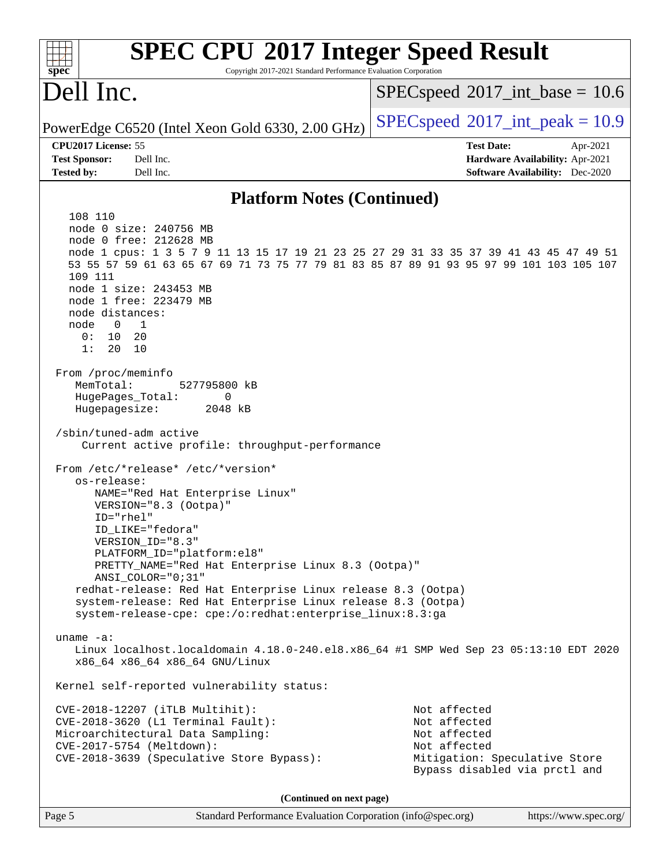| <b>SPEC CPU®2017 Integer Speed Result</b><br>Copyright 2017-2021 Standard Performance Evaluation Corporation<br>spec <sup>®</sup>                                                                                                                                                                                                                                                                                                                                                                                                                                                                                                                                                                                                                                                                                                                                                                                                                                                                                                                                                                                                                                                                                                                                                                                                                                                                                                           |                                                                                                                                |
|---------------------------------------------------------------------------------------------------------------------------------------------------------------------------------------------------------------------------------------------------------------------------------------------------------------------------------------------------------------------------------------------------------------------------------------------------------------------------------------------------------------------------------------------------------------------------------------------------------------------------------------------------------------------------------------------------------------------------------------------------------------------------------------------------------------------------------------------------------------------------------------------------------------------------------------------------------------------------------------------------------------------------------------------------------------------------------------------------------------------------------------------------------------------------------------------------------------------------------------------------------------------------------------------------------------------------------------------------------------------------------------------------------------------------------------------|--------------------------------------------------------------------------------------------------------------------------------|
| Dell Inc.                                                                                                                                                                                                                                                                                                                                                                                                                                                                                                                                                                                                                                                                                                                                                                                                                                                                                                                                                                                                                                                                                                                                                                                                                                                                                                                                                                                                                                   | $SPEC speed^{\circ}2017\_int\_base = 10.6$                                                                                     |
| PowerEdge C6520 (Intel Xeon Gold 6330, 2.00 GHz)                                                                                                                                                                                                                                                                                                                                                                                                                                                                                                                                                                                                                                                                                                                                                                                                                                                                                                                                                                                                                                                                                                                                                                                                                                                                                                                                                                                            | $SPEC speed^{\circ}2017\_int\_peak = 10.9$                                                                                     |
| CPU2017 License: 55                                                                                                                                                                                                                                                                                                                                                                                                                                                                                                                                                                                                                                                                                                                                                                                                                                                                                                                                                                                                                                                                                                                                                                                                                                                                                                                                                                                                                         | <b>Test Date:</b><br>Apr-2021                                                                                                  |
| Dell Inc.<br><b>Test Sponsor:</b>                                                                                                                                                                                                                                                                                                                                                                                                                                                                                                                                                                                                                                                                                                                                                                                                                                                                                                                                                                                                                                                                                                                                                                                                                                                                                                                                                                                                           | Hardware Availability: Apr-2021                                                                                                |
| <b>Tested by:</b><br>Dell Inc.                                                                                                                                                                                                                                                                                                                                                                                                                                                                                                                                                                                                                                                                                                                                                                                                                                                                                                                                                                                                                                                                                                                                                                                                                                                                                                                                                                                                              | <b>Software Availability:</b> Dec-2020                                                                                         |
| <b>Platform Notes (Continued)</b>                                                                                                                                                                                                                                                                                                                                                                                                                                                                                                                                                                                                                                                                                                                                                                                                                                                                                                                                                                                                                                                                                                                                                                                                                                                                                                                                                                                                           |                                                                                                                                |
| 108 110<br>node 0 size: 240756 MB<br>node 0 free: 212628 MB<br>node 1 cpus: 1 3 5 7 9 11 13 15 17 19 21 23 25 27 29 31 33 35 37 39 41 43 45 47 49 51<br>53 55 57 59 61 63 65 67 69 71 73 75 77 79 81 83 85 87 89 91 93 95 97 99 101 103 105 107<br>109 111<br>node 1 size: 243453 MB<br>node 1 free: 223479 MB<br>node distances:<br>node<br>0<br>1<br>0 :<br>10<br>20<br>1:<br>20<br>10<br>From /proc/meminfo<br>MemTotal:<br>527795800 kB<br>HugePages_Total:<br>0<br>Hugepagesize:<br>2048 kB<br>/sbin/tuned-adm active<br>Current active profile: throughput-performance<br>From /etc/*release* /etc/*version*<br>os-release:<br>NAME="Red Hat Enterprise Linux"<br>VERSION="8.3 (Ootpa)"<br>$ID="rhe1"$<br>ID_LIKE="fedora"<br>VERSION_ID="8.3"<br>PLATFORM_ID="platform:el8"<br>PRETTY_NAME="Red Hat Enterprise Linux 8.3 (Ootpa)"<br>ANSI_COLOR="0;31"<br>redhat-release: Red Hat Enterprise Linux release 8.3 (Ootpa)<br>system-release: Red Hat Enterprise Linux release 8.3 (Ootpa)<br>system-release-cpe: cpe:/o:redhat:enterprise_linux:8.3:ga<br>uname $-a$ :<br>Linux localhost.localdomain 4.18.0-240.el8.x86_64 #1 SMP Wed Sep 23 05:13:10 EDT 2020<br>x86_64 x86_64 x86_64 GNU/Linux<br>Kernel self-reported vulnerability status:<br>CVE-2018-12207 (iTLB Multihit):<br>CVE-2018-3620 (L1 Terminal Fault):<br>Microarchitectural Data Sampling:<br>CVE-2017-5754 (Meltdown):<br>CVE-2018-3639 (Speculative Store Bypass): | Not affected<br>Not affected<br>Not affected<br>Not affected<br>Mitigation: Speculative Store<br>Bypass disabled via prctl and |
| (Continued on next page)                                                                                                                                                                                                                                                                                                                                                                                                                                                                                                                                                                                                                                                                                                                                                                                                                                                                                                                                                                                                                                                                                                                                                                                                                                                                                                                                                                                                                    |                                                                                                                                |
| Page 5<br>Standard Performance Evaluation Corporation (info@spec.org)                                                                                                                                                                                                                                                                                                                                                                                                                                                                                                                                                                                                                                                                                                                                                                                                                                                                                                                                                                                                                                                                                                                                                                                                                                                                                                                                                                       | https://www.spec.org/                                                                                                          |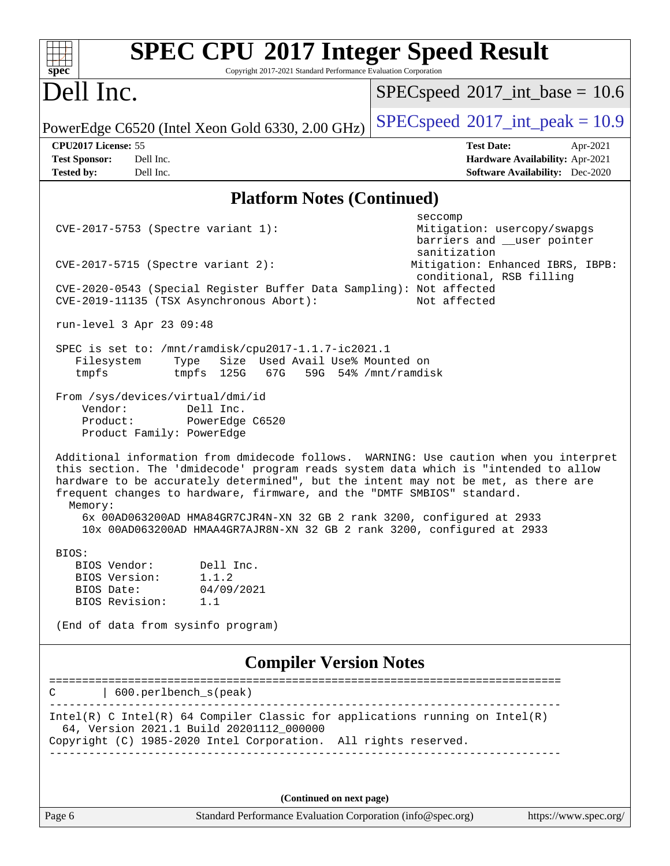| <b>SPEC CPU®2017 Integer Speed Result</b><br>Copyright 2017-2021 Standard Performance Evaluation Corporation<br>$spec^*$                                                                                                                                                                                                                                                                                                            |                                                                                                            |  |  |  |  |  |  |  |
|-------------------------------------------------------------------------------------------------------------------------------------------------------------------------------------------------------------------------------------------------------------------------------------------------------------------------------------------------------------------------------------------------------------------------------------|------------------------------------------------------------------------------------------------------------|--|--|--|--|--|--|--|
| Dell Inc.                                                                                                                                                                                                                                                                                                                                                                                                                           | $SPEC speed$ <sup>®</sup> 2017_int_base = 10.6                                                             |  |  |  |  |  |  |  |
| PowerEdge C6520 (Intel Xeon Gold 6330, 2.00 GHz)                                                                                                                                                                                                                                                                                                                                                                                    | $SPEC speed^{\circ}2017\_int\_peak = 10.9$                                                                 |  |  |  |  |  |  |  |
| CPU2017 License: 55<br>Dell Inc.<br><b>Test Sponsor:</b><br>Dell Inc.<br><b>Tested by:</b>                                                                                                                                                                                                                                                                                                                                          | <b>Test Date:</b><br>Apr-2021<br>Hardware Availability: Apr-2021<br><b>Software Availability:</b> Dec-2020 |  |  |  |  |  |  |  |
| <b>Platform Notes (Continued)</b>                                                                                                                                                                                                                                                                                                                                                                                                   |                                                                                                            |  |  |  |  |  |  |  |
| CVE-2017-5753 (Spectre variant 1):                                                                                                                                                                                                                                                                                                                                                                                                  | seccomp<br>Mitigation: usercopy/swapgs<br>barriers and __user pointer<br>sanitization                      |  |  |  |  |  |  |  |
| $CVE-2017-5715$ (Spectre variant 2):                                                                                                                                                                                                                                                                                                                                                                                                | Mitigation: Enhanced IBRS, IBPB:<br>conditional, RSB filling                                               |  |  |  |  |  |  |  |
| CVE-2020-0543 (Special Register Buffer Data Sampling): Not affected<br>CVE-2019-11135 (TSX Asynchronous Abort):                                                                                                                                                                                                                                                                                                                     | Not affected                                                                                               |  |  |  |  |  |  |  |
| run-level 3 Apr 23 09:48                                                                                                                                                                                                                                                                                                                                                                                                            |                                                                                                            |  |  |  |  |  |  |  |
| SPEC is set to: /mnt/ramdisk/cpu2017-1.1.7-ic2021.1<br>Size Used Avail Use% Mounted on<br>Filesystem<br>Type<br>tmpfs<br>tmpfs 125G<br>67G                                                                                                                                                                                                                                                                                          | 59G 54% / mnt/ramdisk                                                                                      |  |  |  |  |  |  |  |
| From /sys/devices/virtual/dmi/id<br>Vendor:<br>Dell Inc.<br>Product:<br>PowerEdge C6520<br>Product Family: PowerEdge                                                                                                                                                                                                                                                                                                                |                                                                                                            |  |  |  |  |  |  |  |
| Additional information from dmidecode follows. WARNING: Use caution when you interpret<br>this section. The 'dmidecode' program reads system data which is "intended to allow<br>hardware to be accurately determined", but the intent may not be met, as there are<br>frequent changes to hardware, firmware, and the "DMTF SMBIOS" standard.<br>Memory:<br>6x 00AD063200AD HMA84GR7CJR4N-XN 32 GB 2 rank 3200, configured at 2933 |                                                                                                            |  |  |  |  |  |  |  |
| 10x 00AD063200AD HMAA4GR7AJR8N-XN 32 GB 2 rank 3200, configured at 2933                                                                                                                                                                                                                                                                                                                                                             |                                                                                                            |  |  |  |  |  |  |  |
| BIOS:<br>BIOS Vendor: Dell Inc.<br>BIOS Version: 1.1.2<br>BIOS Date:<br>04/09/2021<br>BIOS Revision: 1.1                                                                                                                                                                                                                                                                                                                            |                                                                                                            |  |  |  |  |  |  |  |
| (End of data from sysinfo program)                                                                                                                                                                                                                                                                                                                                                                                                  |                                                                                                            |  |  |  |  |  |  |  |
| <b>Compiler Version Notes</b>                                                                                                                                                                                                                                                                                                                                                                                                       |                                                                                                            |  |  |  |  |  |  |  |
| 600.perlbench_s(peak)<br>C                                                                                                                                                                                                                                                                                                                                                                                                          |                                                                                                            |  |  |  |  |  |  |  |
| $Intel(R)$ C Intel(R) 64 Compiler Classic for applications running on Intel(R)<br>64, Version 2021.1 Build 20201112_000000<br>Copyright (C) 1985-2020 Intel Corporation. All rights reserved.                                                                                                                                                                                                                                       |                                                                                                            |  |  |  |  |  |  |  |
| (Continued on next page)                                                                                                                                                                                                                                                                                                                                                                                                            |                                                                                                            |  |  |  |  |  |  |  |

Page 6 Standard Performance Evaluation Corporation [\(info@spec.org\)](mailto:info@spec.org) <https://www.spec.org/>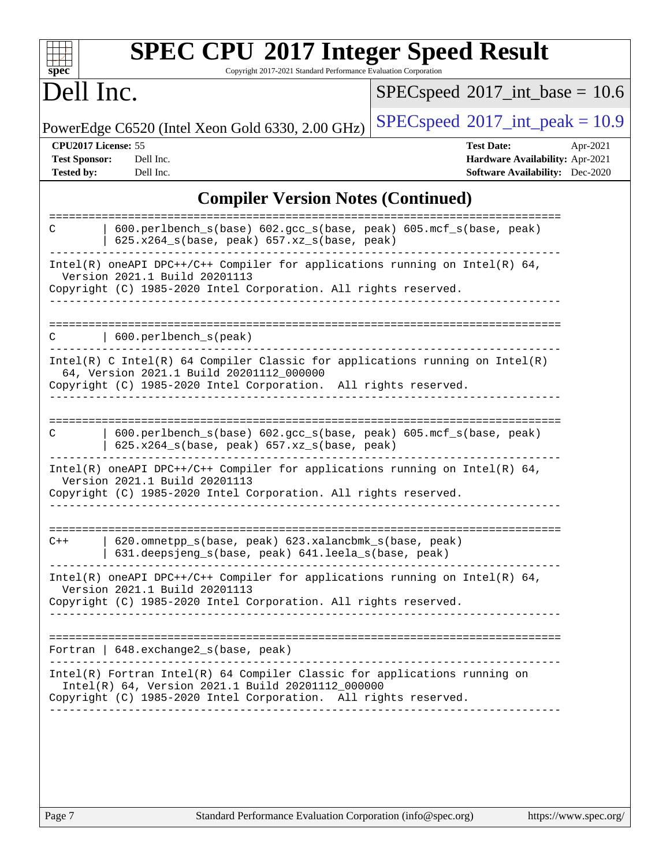| Dell Inc.                                                        |                                                                                                                                                                                                                             | $SPEC speed^{\circ}2017\_int\_base = 10.6$                                                                 |
|------------------------------------------------------------------|-----------------------------------------------------------------------------------------------------------------------------------------------------------------------------------------------------------------------------|------------------------------------------------------------------------------------------------------------|
|                                                                  | PowerEdge C6520 (Intel Xeon Gold 6330, 2.00 GHz)                                                                                                                                                                            | $SPEC speed^{\circ}2017\_int\_peak = 10.9$                                                                 |
| CPU2017 License: 55<br><b>Test Sponsor:</b><br><b>Tested by:</b> | Dell Inc.<br>Dell Inc.                                                                                                                                                                                                      | <b>Test Date:</b><br>Apr-2021<br>Hardware Availability: Apr-2021<br><b>Software Availability:</b> Dec-2020 |
|                                                                  | <b>Compiler Version Notes (Continued)</b>                                                                                                                                                                                   |                                                                                                            |
| С                                                                | ==================<br>600.perlbench_s(base) 602.gcc_s(base, peak) 605.mcf_s(base, peak)<br>$625.x264_s(base, peak)$ $657.xz_s(base, peak)$                                                                                  |                                                                                                            |
|                                                                  | $Intel(R)$ oneAPI DPC++/C++ Compiler for applications running on Intel(R) 64,<br>Version 2021.1 Build 20201113<br>Copyright (C) 1985-2020 Intel Corporation. All rights reserved.                                           |                                                                                                            |
| С                                                                | 600.perlbench_s(peak)                                                                                                                                                                                                       | ===============================                                                                            |
|                                                                  | $Intel(R)$ C Intel(R) 64 Compiler Classic for applications running on Intel(R)<br>64, Version 2021.1 Build 20201112_000000<br>Copyright (C) 1985-2020 Intel Corporation. All rights reserved.                               |                                                                                                            |
|                                                                  |                                                                                                                                                                                                                             |                                                                                                            |
|                                                                  | 600.perlbench_s(base) 602.gcc_s(base, peak) 605.mcf_s(base, peak)<br>625.x264_s(base, peak) 657.xz_s(base, peak)                                                                                                            |                                                                                                            |
|                                                                  | Intel(R) oneAPI DPC++/C++ Compiler for applications running on Intel(R) $64$ ,<br>Version 2021.1 Build 20201113<br>Copyright (C) 1985-2020 Intel Corporation. All rights reserved.                                          |                                                                                                            |
|                                                                  | 620.omnetpp_s(base, peak) 623.xalancbmk_s(base, peak)<br>631.deepsjeng_s(base, peak) 641.leela_s(base, peak)                                                                                                                |                                                                                                            |
|                                                                  | Intel(R) oneAPI DPC++/C++ Compiler for applications running on Intel(R) $64$ ,<br>Version 2021.1 Build 20201113<br>Copyright (C) 1985-2020 Intel Corporation. All rights reserved.<br>_____________________________________ |                                                                                                            |
| С<br>$C++$                                                       | Fortran   648. exchange2_s(base, peak)<br>_____________________________________                                                                                                                                             |                                                                                                            |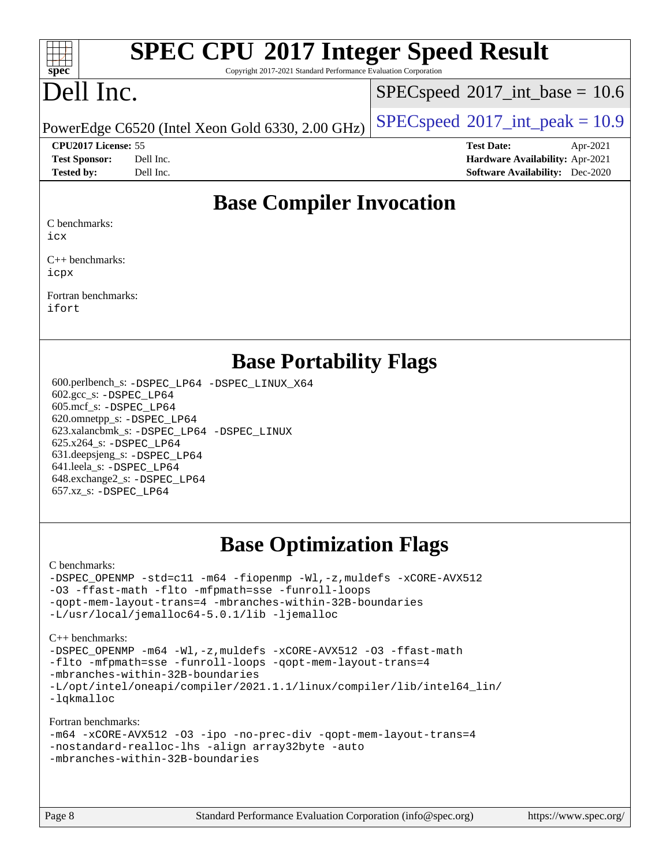#### $\pm t$ **[spec](http://www.spec.org/)**

# **[SPEC CPU](http://www.spec.org/auto/cpu2017/Docs/result-fields.html#SPECCPU2017IntegerSpeedResult)[2017 Integer Speed Result](http://www.spec.org/auto/cpu2017/Docs/result-fields.html#SPECCPU2017IntegerSpeedResult)**

Copyright 2017-2021 Standard Performance Evaluation Corporation

## Dell Inc.

 $SPECspeed^{\circ}2017\_int\_base = 10.6$  $SPECspeed^{\circ}2017\_int\_base = 10.6$ 

PowerEdge C6520 (Intel Xeon Gold 6330, 2.00 GHz)  $\left|$  [SPECspeed](http://www.spec.org/auto/cpu2017/Docs/result-fields.html#SPECspeed2017intpeak)®[2017\\_int\\_peak = 1](http://www.spec.org/auto/cpu2017/Docs/result-fields.html#SPECspeed2017intpeak)0.9

**[CPU2017 License:](http://www.spec.org/auto/cpu2017/Docs/result-fields.html#CPU2017License)** 55 **[Test Date:](http://www.spec.org/auto/cpu2017/Docs/result-fields.html#TestDate)** Apr-2021 **[Test Sponsor:](http://www.spec.org/auto/cpu2017/Docs/result-fields.html#TestSponsor)** Dell Inc. **[Hardware Availability:](http://www.spec.org/auto/cpu2017/Docs/result-fields.html#HardwareAvailability)** Apr-2021 **[Tested by:](http://www.spec.org/auto/cpu2017/Docs/result-fields.html#Testedby)** Dell Inc. **[Software Availability:](http://www.spec.org/auto/cpu2017/Docs/result-fields.html#SoftwareAvailability)** Dec-2020

## **[Base Compiler Invocation](http://www.spec.org/auto/cpu2017/Docs/result-fields.html#BaseCompilerInvocation)**

[C benchmarks:](http://www.spec.org/auto/cpu2017/Docs/result-fields.html#Cbenchmarks)

[icx](http://www.spec.org/cpu2017/results/res2021q2/cpu2017-20210510-26114.flags.html#user_CCbase_intel_icx_fe2d28d19ae2a5db7c42fe0f2a2aed77cb715edd4aeb23434404a8be6683fe239869bb6ca8154ca98265c2e3b9226a719a0efe2953a4a7018c379b7010ccf087)

[C++ benchmarks:](http://www.spec.org/auto/cpu2017/Docs/result-fields.html#CXXbenchmarks) [icpx](http://www.spec.org/cpu2017/results/res2021q2/cpu2017-20210510-26114.flags.html#user_CXXbase_intel_icpx_1e918ed14c436bf4b9b7c8bcdd51d4539fc71b3df010bd1e9f8732d9c34c2b2914e48204a846820f3c0ebb4095dea797a5c30b458ac0b6dffac65d78f781f5ca)

[Fortran benchmarks](http://www.spec.org/auto/cpu2017/Docs/result-fields.html#Fortranbenchmarks): [ifort](http://www.spec.org/cpu2017/results/res2021q2/cpu2017-20210510-26114.flags.html#user_FCbase_intel_ifort_8111460550e3ca792625aed983ce982f94888b8b503583aa7ba2b8303487b4d8a21a13e7191a45c5fd58ff318f48f9492884d4413fa793fd88dd292cad7027ca)

## **[Base Portability Flags](http://www.spec.org/auto/cpu2017/Docs/result-fields.html#BasePortabilityFlags)**

 600.perlbench\_s: [-DSPEC\\_LP64](http://www.spec.org/cpu2017/results/res2021q2/cpu2017-20210510-26114.flags.html#b600.perlbench_s_basePORTABILITY_DSPEC_LP64) [-DSPEC\\_LINUX\\_X64](http://www.spec.org/cpu2017/results/res2021q2/cpu2017-20210510-26114.flags.html#b600.perlbench_s_baseCPORTABILITY_DSPEC_LINUX_X64) 602.gcc\_s: [-DSPEC\\_LP64](http://www.spec.org/cpu2017/results/res2021q2/cpu2017-20210510-26114.flags.html#suite_basePORTABILITY602_gcc_s_DSPEC_LP64) 605.mcf\_s: [-DSPEC\\_LP64](http://www.spec.org/cpu2017/results/res2021q2/cpu2017-20210510-26114.flags.html#suite_basePORTABILITY605_mcf_s_DSPEC_LP64) 620.omnetpp\_s: [-DSPEC\\_LP64](http://www.spec.org/cpu2017/results/res2021q2/cpu2017-20210510-26114.flags.html#suite_basePORTABILITY620_omnetpp_s_DSPEC_LP64) 623.xalancbmk\_s: [-DSPEC\\_LP64](http://www.spec.org/cpu2017/results/res2021q2/cpu2017-20210510-26114.flags.html#suite_basePORTABILITY623_xalancbmk_s_DSPEC_LP64) [-DSPEC\\_LINUX](http://www.spec.org/cpu2017/results/res2021q2/cpu2017-20210510-26114.flags.html#b623.xalancbmk_s_baseCXXPORTABILITY_DSPEC_LINUX) 625.x264\_s: [-DSPEC\\_LP64](http://www.spec.org/cpu2017/results/res2021q2/cpu2017-20210510-26114.flags.html#suite_basePORTABILITY625_x264_s_DSPEC_LP64) 631.deepsjeng\_s: [-DSPEC\\_LP64](http://www.spec.org/cpu2017/results/res2021q2/cpu2017-20210510-26114.flags.html#suite_basePORTABILITY631_deepsjeng_s_DSPEC_LP64) 641.leela\_s: [-DSPEC\\_LP64](http://www.spec.org/cpu2017/results/res2021q2/cpu2017-20210510-26114.flags.html#suite_basePORTABILITY641_leela_s_DSPEC_LP64) 648.exchange2\_s: [-DSPEC\\_LP64](http://www.spec.org/cpu2017/results/res2021q2/cpu2017-20210510-26114.flags.html#suite_basePORTABILITY648_exchange2_s_DSPEC_LP64) 657.xz\_s: [-DSPEC\\_LP64](http://www.spec.org/cpu2017/results/res2021q2/cpu2017-20210510-26114.flags.html#suite_basePORTABILITY657_xz_s_DSPEC_LP64)

## **[Base Optimization Flags](http://www.spec.org/auto/cpu2017/Docs/result-fields.html#BaseOptimizationFlags)**

[C benchmarks](http://www.spec.org/auto/cpu2017/Docs/result-fields.html#Cbenchmarks):

[-DSPEC\\_OPENMP](http://www.spec.org/cpu2017/results/res2021q2/cpu2017-20210510-26114.flags.html#suite_CCbase_DSPEC_OPENMP) [-std=c11](http://www.spec.org/cpu2017/results/res2021q2/cpu2017-20210510-26114.flags.html#user_CCbase_std-icc-std_0e1c27790398a4642dfca32ffe6c27b5796f9c2d2676156f2e42c9c44eaad0c049b1cdb667a270c34d979996257aeb8fc440bfb01818dbc9357bd9d174cb8524) [-m64](http://www.spec.org/cpu2017/results/res2021q2/cpu2017-20210510-26114.flags.html#user_CCbase_m64-icc) [-fiopenmp](http://www.spec.org/cpu2017/results/res2021q2/cpu2017-20210510-26114.flags.html#user_CCbase_fiopenmp_4cde26b3fcccd23bd0bb70af4efc204325d72839eefa1147e34201101709f20b3deb62aad96701dea148529bf4ca48c90b72f3bf837ca148e297cf8a0ba6feb7) [-Wl,-z,muldefs](http://www.spec.org/cpu2017/results/res2021q2/cpu2017-20210510-26114.flags.html#user_CCbase_link_force_multiple1_b4cbdb97b34bdee9ceefcfe54f4c8ea74255f0b02a4b23e853cdb0e18eb4525ac79b5a88067c842dd0ee6996c24547a27a4b99331201badda8798ef8a743f577) [-xCORE-AVX512](http://www.spec.org/cpu2017/results/res2021q2/cpu2017-20210510-26114.flags.html#user_CCbase_f-xCORE-AVX512) [-O3](http://www.spec.org/cpu2017/results/res2021q2/cpu2017-20210510-26114.flags.html#user_CCbase_f-O3) [-ffast-math](http://www.spec.org/cpu2017/results/res2021q2/cpu2017-20210510-26114.flags.html#user_CCbase_f-ffast-math) [-flto](http://www.spec.org/cpu2017/results/res2021q2/cpu2017-20210510-26114.flags.html#user_CCbase_f-flto) [-mfpmath=sse](http://www.spec.org/cpu2017/results/res2021q2/cpu2017-20210510-26114.flags.html#user_CCbase_f-mfpmath_70eb8fac26bde974f8ab713bc9086c5621c0b8d2f6c86f38af0bd7062540daf19db5f3a066d8c6684be05d84c9b6322eb3b5be6619d967835195b93d6c02afa1) [-funroll-loops](http://www.spec.org/cpu2017/results/res2021q2/cpu2017-20210510-26114.flags.html#user_CCbase_f-funroll-loops) [-qopt-mem-layout-trans=4](http://www.spec.org/cpu2017/results/res2021q2/cpu2017-20210510-26114.flags.html#user_CCbase_f-qopt-mem-layout-trans_fa39e755916c150a61361b7846f310bcdf6f04e385ef281cadf3647acec3f0ae266d1a1d22d972a7087a248fd4e6ca390a3634700869573d231a252c784941a8) [-mbranches-within-32B-boundaries](http://www.spec.org/cpu2017/results/res2021q2/cpu2017-20210510-26114.flags.html#user_CCbase_f-mbranches-within-32B-boundaries) [-L/usr/local/jemalloc64-5.0.1/lib](http://www.spec.org/cpu2017/results/res2021q2/cpu2017-20210510-26114.flags.html#user_CCbase_jemalloc_link_path64_1_cc289568b1a6c0fd3b62c91b824c27fcb5af5e8098e6ad028160d21144ef1b8aef3170d2acf0bee98a8da324cfe4f67d0a3d0c4cc4673d993d694dc2a0df248b) [-ljemalloc](http://www.spec.org/cpu2017/results/res2021q2/cpu2017-20210510-26114.flags.html#user_CCbase_jemalloc_link_lib_d1249b907c500fa1c0672f44f562e3d0f79738ae9e3c4a9c376d49f265a04b9c99b167ecedbf6711b3085be911c67ff61f150a17b3472be731631ba4d0471706)

[C++ benchmarks:](http://www.spec.org/auto/cpu2017/Docs/result-fields.html#CXXbenchmarks)

[-DSPEC\\_OPENMP](http://www.spec.org/cpu2017/results/res2021q2/cpu2017-20210510-26114.flags.html#suite_CXXbase_DSPEC_OPENMP) [-m64](http://www.spec.org/cpu2017/results/res2021q2/cpu2017-20210510-26114.flags.html#user_CXXbase_m64-icc) [-Wl,-z,muldefs](http://www.spec.org/cpu2017/results/res2021q2/cpu2017-20210510-26114.flags.html#user_CXXbase_link_force_multiple1_b4cbdb97b34bdee9ceefcfe54f4c8ea74255f0b02a4b23e853cdb0e18eb4525ac79b5a88067c842dd0ee6996c24547a27a4b99331201badda8798ef8a743f577) [-xCORE-AVX512](http://www.spec.org/cpu2017/results/res2021q2/cpu2017-20210510-26114.flags.html#user_CXXbase_f-xCORE-AVX512) [-O3](http://www.spec.org/cpu2017/results/res2021q2/cpu2017-20210510-26114.flags.html#user_CXXbase_f-O3) [-ffast-math](http://www.spec.org/cpu2017/results/res2021q2/cpu2017-20210510-26114.flags.html#user_CXXbase_f-ffast-math) [-flto](http://www.spec.org/cpu2017/results/res2021q2/cpu2017-20210510-26114.flags.html#user_CXXbase_f-flto) [-mfpmath=sse](http://www.spec.org/cpu2017/results/res2021q2/cpu2017-20210510-26114.flags.html#user_CXXbase_f-mfpmath_70eb8fac26bde974f8ab713bc9086c5621c0b8d2f6c86f38af0bd7062540daf19db5f3a066d8c6684be05d84c9b6322eb3b5be6619d967835195b93d6c02afa1) [-funroll-loops](http://www.spec.org/cpu2017/results/res2021q2/cpu2017-20210510-26114.flags.html#user_CXXbase_f-funroll-loops) [-qopt-mem-layout-trans=4](http://www.spec.org/cpu2017/results/res2021q2/cpu2017-20210510-26114.flags.html#user_CXXbase_f-qopt-mem-layout-trans_fa39e755916c150a61361b7846f310bcdf6f04e385ef281cadf3647acec3f0ae266d1a1d22d972a7087a248fd4e6ca390a3634700869573d231a252c784941a8) [-mbranches-within-32B-boundaries](http://www.spec.org/cpu2017/results/res2021q2/cpu2017-20210510-26114.flags.html#user_CXXbase_f-mbranches-within-32B-boundaries) [-L/opt/intel/oneapi/compiler/2021.1.1/linux/compiler/lib/intel64\\_lin/](http://www.spec.org/cpu2017/results/res2021q2/cpu2017-20210510-26114.flags.html#user_CXXbase_linkpath_765a8c93c4ea33dfc565a33ecb48f4f7d02a6338709b3b362f341eb203a06426ce1d12ded4c7809f6ab6cf0e9f5515cffeb4efc405b63f85dc27a83bbbdeb3a3) [-lqkmalloc](http://www.spec.org/cpu2017/results/res2021q2/cpu2017-20210510-26114.flags.html#user_CXXbase_qkmalloc_link_lib_79a818439969f771c6bc311cfd333c00fc099dad35c030f5aab9dda831713d2015205805422f83de8875488a2991c0a156aaa600e1f9138f8fc37004abc96dc5)

[Fortran benchmarks](http://www.spec.org/auto/cpu2017/Docs/result-fields.html#Fortranbenchmarks):

|                                                  |  |  | -m64 -xCORE-AVX512 -03 -ipo -no-prec-div -qopt-mem-layout-trans=4 |
|--------------------------------------------------|--|--|-------------------------------------------------------------------|
| -nostandard-realloc-lhs -align array32byte -auto |  |  |                                                                   |
| -mbranches-within-32B-boundaries                 |  |  |                                                                   |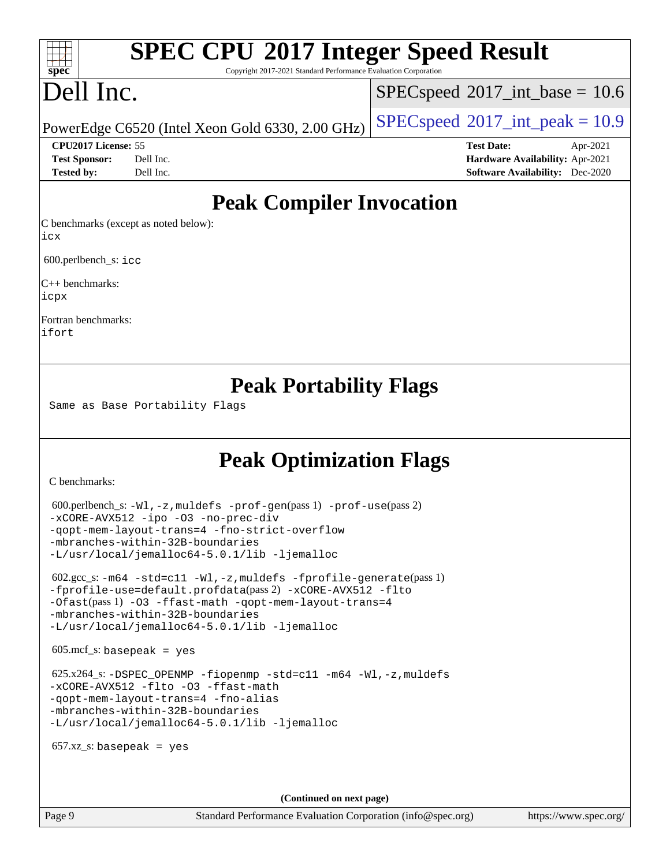# **[SPEC CPU](http://www.spec.org/auto/cpu2017/Docs/result-fields.html#SPECCPU2017IntegerSpeedResult)[2017 Integer Speed Result](http://www.spec.org/auto/cpu2017/Docs/result-fields.html#SPECCPU2017IntegerSpeedResult)**

Copyright 2017-2021 Standard Performance Evaluation Corporation

# Dell Inc.

**[spec](http://www.spec.org/)**

 $+\ +$ 

 $SPECspeed^{\circ}2017\_int\_base = 10.6$  $SPECspeed^{\circ}2017\_int\_base = 10.6$ 

PowerEdge C6520 (Intel Xeon Gold 6330, 2.00 GHz)  $\left|$  [SPECspeed](http://www.spec.org/auto/cpu2017/Docs/result-fields.html#SPECspeed2017intpeak)<sup>®</sup>[2017\\_int\\_peak = 1](http://www.spec.org/auto/cpu2017/Docs/result-fields.html#SPECspeed2017intpeak)0.9

**[CPU2017 License:](http://www.spec.org/auto/cpu2017/Docs/result-fields.html#CPU2017License)** 55 **[Test Date:](http://www.spec.org/auto/cpu2017/Docs/result-fields.html#TestDate)** Apr-2021 **[Test Sponsor:](http://www.spec.org/auto/cpu2017/Docs/result-fields.html#TestSponsor)** Dell Inc. **[Hardware Availability:](http://www.spec.org/auto/cpu2017/Docs/result-fields.html#HardwareAvailability)** Apr-2021 **[Tested by:](http://www.spec.org/auto/cpu2017/Docs/result-fields.html#Testedby)** Dell Inc. **[Software Availability:](http://www.spec.org/auto/cpu2017/Docs/result-fields.html#SoftwareAvailability)** Dec-2020

## **[Peak Compiler Invocation](http://www.spec.org/auto/cpu2017/Docs/result-fields.html#PeakCompilerInvocation)**

[C benchmarks \(except as noted below\):](http://www.spec.org/auto/cpu2017/Docs/result-fields.html#Cbenchmarksexceptasnotedbelow) [icx](http://www.spec.org/cpu2017/results/res2021q2/cpu2017-20210510-26114.flags.html#user_CCpeak_intel_icx_fe2d28d19ae2a5db7c42fe0f2a2aed77cb715edd4aeb23434404a8be6683fe239869bb6ca8154ca98265c2e3b9226a719a0efe2953a4a7018c379b7010ccf087)

600.perlbench\_s: [icc](http://www.spec.org/cpu2017/results/res2021q2/cpu2017-20210510-26114.flags.html#user_peakCCLD600_perlbench_s_intel_icc_66fc1ee009f7361af1fbd72ca7dcefbb700085f36577c54f309893dd4ec40d12360134090235512931783d35fd58c0460139e722d5067c5574d8eaf2b3e37e92)

[C++ benchmarks](http://www.spec.org/auto/cpu2017/Docs/result-fields.html#CXXbenchmarks): [icpx](http://www.spec.org/cpu2017/results/res2021q2/cpu2017-20210510-26114.flags.html#user_CXXpeak_intel_icpx_1e918ed14c436bf4b9b7c8bcdd51d4539fc71b3df010bd1e9f8732d9c34c2b2914e48204a846820f3c0ebb4095dea797a5c30b458ac0b6dffac65d78f781f5ca)

[Fortran benchmarks:](http://www.spec.org/auto/cpu2017/Docs/result-fields.html#Fortranbenchmarks) [ifort](http://www.spec.org/cpu2017/results/res2021q2/cpu2017-20210510-26114.flags.html#user_FCpeak_intel_ifort_8111460550e3ca792625aed983ce982f94888b8b503583aa7ba2b8303487b4d8a21a13e7191a45c5fd58ff318f48f9492884d4413fa793fd88dd292cad7027ca)

## **[Peak Portability Flags](http://www.spec.org/auto/cpu2017/Docs/result-fields.html#PeakPortabilityFlags)**

Same as Base Portability Flags

## **[Peak Optimization Flags](http://www.spec.org/auto/cpu2017/Docs/result-fields.html#PeakOptimizationFlags)**

[C benchmarks](http://www.spec.org/auto/cpu2017/Docs/result-fields.html#Cbenchmarks):

```
 600.perlbench_s: -Wl,-z,muldefs -prof-gen(pass 1) -prof-use(pass 2)
-xCORE-AVX512 -ipo -O3 -no-prec-div
-qopt-mem-layout-trans=4 -fno-strict-overflow
-mbranches-within-32B-boundaries
-L/usr/local/jemalloc64-5.0.1/lib -ljemalloc
 602.gcc_s: -m64 -std=c11 -Wl,-z,muldefs -fprofile-generate(pass 1)
-fprofile-use=default.profdata(pass 2) -xCORE-AVX512 -flto
-Ofast(pass 1) -O3 -ffast-math -qopt-mem-layout-trans=4
-mbranches-within-32B-boundaries
-L/usr/local/jemalloc64-5.0.1/lib -ljemalloc
605 \text{.mcf}\text{-}\mathrm{s}: basepeak = yes
625.x264-fiopenmp-std=c11-m64-Wl,-z,muldefs
-xCORE-AVX512 -flto -O3 -ffast-math
-qopt-mem-layout-trans=4 -fno-alias
-mbranches-within-32B-boundaries
-L/usr/local/jemalloc64-5.0.1/lib -ljemalloc
657.xz s: basepeak = yes
                                     (Continued on next page)
```